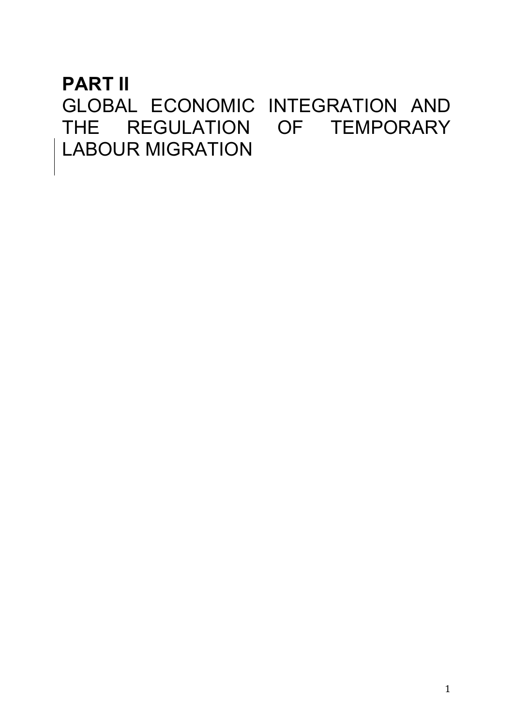# **PART II** GLOBAL ECONOMIC INTEGRATION AND THE REGULATION OF TEMPORARY LABOUR MIGRATION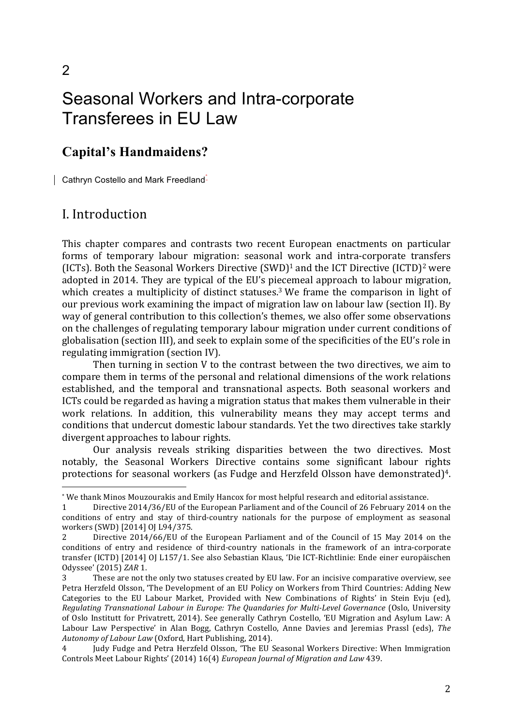## Seasonal Workers and Intra-corporate Transferees in EU Law

## **Capital's Handmaidens?**

| Cathryn Costello and Mark Freedland<sup>\*</sup>

 

### I. Introduction

This chapter compares and contrasts two recent European enactments on particular forms of temporary labour migration: seasonal work and intra-corporate transfers (ICTs). Both the Seasonal Workers Directive  $(SWD)^1$  and the ICT Directive (ICTD)<sup>2</sup> were adopted in 2014. They are typical of the EU's piecemeal approach to labour migration, which creates a multiplicity of distinct statuses.<sup>3</sup> We frame the comparison in light of our previous work examining the impact of migration law on labour law (section II). By way of general contribution to this collection's themes, we also offer some observations on the challenges of regulating temporary labour migration under current conditions of globalisation (section III), and seek to explain some of the specificities of the EU's role in regulating immigration (section IV).

Then turning in section V to the contrast between the two directives, we aim to compare them in terms of the personal and relational dimensions of the work relations established, and the temporal and transnational aspects. Both seasonal workers and ICTs could be regarded as having a migration status that makes them vulnerable in their work relations. In addition, this vulnerability means they may accept terms and conditions that undercut domestic labour standards. Yet the two directives take starkly divergent approaches to labour rights.

Our analysis reveals striking disparities between the two directives. Most notably, the Seasonal Workers Directive contains some significant labour rights protections for seasonal workers (as Fudge and Herzfeld Olsson have demonstrated)<sup>4</sup>.

<sup>\*</sup> We thank Minos Mouzourakis and Emily Hancox for most helpful research and editorial assistance.

<sup>1</sup> Directive 2014/36/EU of the European Parliament and of the Council of 26 February 2014 on the conditions of entry and stay of third-country nationals for the purpose of employment as seasonal workers (SWD) [2014] OJ L94/375.

<sup>2</sup> Directive 2014/66/EU of the European Parliament and of the Council of 15 May 2014 on the conditions of entry and residence of third-country nationals in the framework of an intra-corporate transfer (ICTD) [2014] OJ L157/1. See also Sebastian Klaus, 'Die ICT-Richtlinie: Ende einer europäischen Odyssee' (2015) *ZAR* 1.

<sup>3</sup> These are not the only two statuses created by EU law. For an incisive comparative overview, see Petra Herzfeld Olsson, 'The Development of an EU Policy on Workers from Third Countries: Adding New Categories to the EU Labour Market, Provided with New Combinations of Rights' in Stein Evju (ed), *Regulating Transnational Labour in Europe: The Quandaries for Multi-Level Governance* (Oslo, University of Oslo Institutt for Privatrett, 2014). See generally Cathryn Costello, 'EU Migration and Asylum Law: A Labour Law Perspective' in Alan Bogg, Cathryn Costello, Anne Davies and Jeremias Prassl (eds), *The Autonomy of Labour Law* (Oxford, Hart Publishing, 2014).

<sup>4</sup> Iudy Fudge and Petra Herzfeld Olsson, The EU Seasonal Workers Directive: When Immigration Controls Meet Labour Rights' (2014) 16(4) *European Journal of Migration and Law* 439.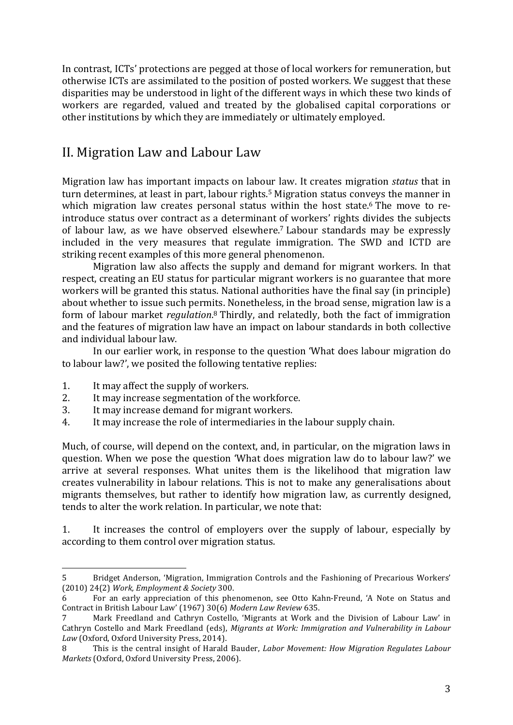In contrast, ICTs' protections are pegged at those of local workers for remuneration, but otherwise ICTs are assimilated to the position of posted workers. We suggest that these disparities may be understood in light of the different ways in which these two kinds of workers are regarded, valued and treated by the globalised capital corporations or other institutions by which they are immediately or ultimately employed.

### II. Migration Law and Labour Law

Migration law has important impacts on labour law. It creates migration *status* that in turn determines, at least in part, labour rights.<sup>5</sup> Migration status conveys the manner in which migration law creates personal status within the host state.<sup>6</sup> The move to reintroduce status over contract as a determinant of workers' rights divides the subjects of labour law, as we have observed elsewhere.<sup>7</sup> Labour standards may be expressly included in the very measures that regulate immigration. The SWD and ICTD are striking recent examples of this more general phenomenon.

Migration law also affects the supply and demand for migrant workers. In that respect, creating an EU status for particular migrant workers is no guarantee that more workers will be granted this status. National authorities have the final say (in principle) about whether to issue such permits. Nonetheless, in the broad sense, migration law is a form of labour market *regulation*.<sup>8</sup> Thirdly, and relatedly, both the fact of immigration and the features of migration law have an impact on labour standards in both collective and individual labour law.

In our earlier work, in response to the question 'What does labour migration do to labour law?', we posited the following tentative replies:

1. It may affect the supply of workers.

 

- 2. It may increase segmentation of the workforce.
- 3. It may increase demand for migrant workers.
- 4. It may increase the role of intermediaries in the labour supply chain.

Much, of course, will depend on the context, and, in particular, on the migration laws in question. When we pose the question 'What does migration law do to labour law?' we arrive at several responses. What unites them is the likelihood that migration law creates vulnerability in labour relations. This is not to make any generalisations about migrants themselves, but rather to identify how migration law, as currently designed, tends to alter the work relation. In particular, we note that:

1. It increases the control of employers over the supply of labour, especially by according to them control over migration status.

<sup>5</sup> Bridget Anderson, 'Migration, Immigration Controls and the Fashioning of Precarious Workers' (2010) 24(2) *Work, Employment & Society* 300.

<sup>6</sup> For an early appreciation of this phenomenon, see Otto Kahn-Freund, 'A Note on Status and Contract in British Labour Law' (1967) 30(6) Modern Law Review 635.

Mark Freedland and Cathryn Costello, 'Migrants at Work and the Division of Labour Law' in Cathryn Costello and Mark Freedland (eds), *Migrants at Work: Immigration and Vulnerability in Labour* Law (Oxford, Oxford University Press, 2014).

<sup>8</sup> This is the central insight of Harald Bauder, *Labor Movement: How Migration Regulates Labour Markets* (Oxford, Oxford University Press, 2006).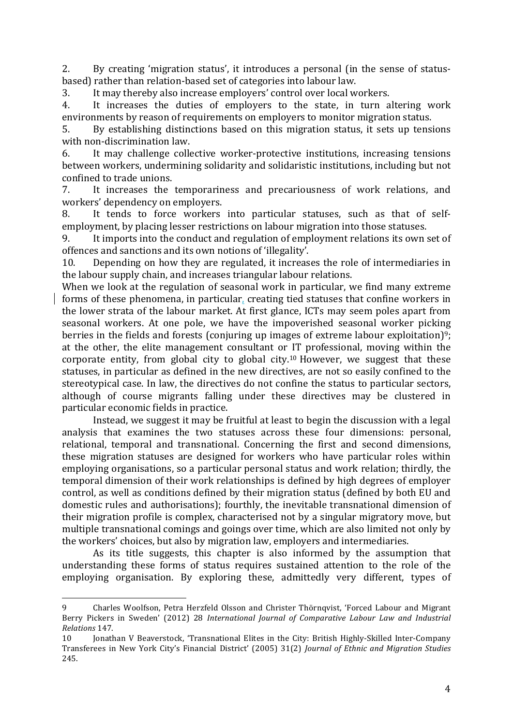2. By creating 'migration status', it introduces a personal (in the sense of statusbased) rather than relation-based set of categories into labour law.

3. It may thereby also increase employers' control over local workers.

4. It increases the duties of employers to the state, in turn altering work environments by reason of requirements on employers to monitor migration status.

5. By establishing distinctions based on this migration status, it sets up tensions with non-discrimination law.

6. It may challenge collective worker-protective institutions, increasing tensions between workers, undermining solidarity and solidaristic institutions, including but not confined to trade unions.

7. It increases the temporariness and precariousness of work relations, and workers' dependency on employers.

8. It tends to force workers into particular statuses, such as that of selfemployment, by placing lesser restrictions on labour migration into those statuses.

9. It imports into the conduct and regulation of employment relations its own set of offences and sanctions and its own notions of 'illegality'.

10. Depending on how they are regulated, it increases the role of intermediaries in the labour supply chain, and increases triangular labour relations.

When we look at the regulation of seasonal work in particular, we find many extreme forms of these phenomena, in particular, creating tied statuses that confine workers in the lower strata of the labour market. At first glance, ICTs may seem poles apart from seasonal workers. At one pole, we have the impoverished seasonal worker picking berries in the fields and forests (conjuring up images of extreme labour exploitation)<sup>9</sup>; at the other, the elite management consultant or IT professional, moving within the corporate entity, from global city to global city.<sup>10</sup> However, we suggest that these statuses, in particular as defined in the new directives, are not so easily confined to the stereotypical case. In law, the directives do not confine the status to particular sectors, although of course migrants falling under these directives may be clustered in particular economic fields in practice.

Instead, we suggest it may be fruitful at least to begin the discussion with a legal analysis that examines the two statuses across these four dimensions: personal, relational, temporal and transnational. Concerning the first and second dimensions, these migration statuses are designed for workers who have particular roles within employing organisations, so a particular personal status and work relation; thirdly, the temporal dimension of their work relationships is defined by high degrees of employer control, as well as conditions defined by their migration status (defined by both EU and domestic rules and authorisations); fourthly, the inevitable transnational dimension of their migration profile is complex, characterised not by a singular migratory move, but multiple transnational comings and goings over time, which are also limited not only by the workers' choices, but also by migration law, employers and intermediaries.

As its title suggests, this chapter is also informed by the assumption that understanding these forms of status requires sustained attention to the role of the employing organisation. By exploring these, admittedly very different, types of

<sup>9</sup> Charles Woolfson, Petra Herzfeld Olsson and Christer Thörnqvist, 'Forced Labour and Migrant Berry Pickers in Sweden' (2012) 28 *International Journal of Comparative Labour Law and Industrial Relations* 147. 

<sup>10</sup> Ionathan V Beaverstock, 'Transnational Elites in the City: British Highly-Skilled Inter-Company Transferees in New York City's Financial District' (2005) 31(2) *Journal of Ethnic and Migration Studies* 245.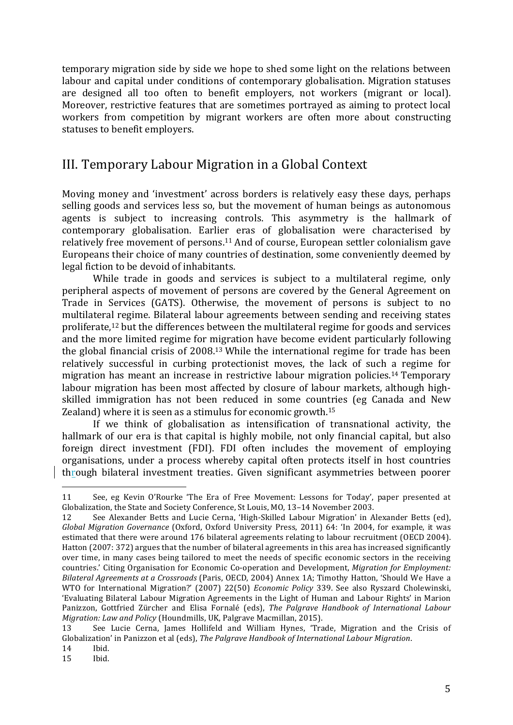temporary migration side by side we hope to shed some light on the relations between labour and capital under conditions of contemporary globalisation. Migration statuses are designed all too often to benefit employers, not workers (migrant or local). Moreover, restrictive features that are sometimes portrayed as aiming to protect local workers from competition by migrant workers are often more about constructing statuses to benefit employers.

#### III. Temporary Labour Migration in a Global Context

Moving money and 'investment' across borders is relatively easy these days, perhaps selling goods and services less so, but the movement of human beings as autonomous agents is subject to increasing controls. This asymmetry is the hallmark of contemporary globalisation. Earlier eras of globalisation were characterised by relatively free movement of persons.<sup>11</sup> And of course, European settler colonialism gave Europeans their choice of many countries of destination, some conveniently deemed by legal fiction to be devoid of inhabitants.

While trade in goods and services is subject to a multilateral regime, only peripheral aspects of movement of persons are covered by the General Agreement on Trade in Services (GATS). Otherwise, the movement of persons is subject to no multilateral regime. Bilateral labour agreements between sending and receiving states proliferate, $12$  but the differences between the multilateral regime for goods and services and the more limited regime for migration have become evident particularly following the global financial crisis of  $2008<sup>13</sup>$  While the international regime for trade has been relatively successful in curbing protectionist moves, the lack of such a regime for migration has meant an increase in restrictive labour migration policies.<sup>14</sup> Temporary labour migration has been most affected by closure of labour markets, although highskilled immigration has not been reduced in some countries (eg Canada and New Zealand) where it is seen as a stimulus for economic growth.<sup>15</sup>

If we think of globalisation as intensification of transnational activity, the hallmark of our era is that capital is highly mobile, not only financial capital, but also foreign direct investment (FDI). FDI often includes the movement of employing organisations, under a process whereby capital often protects itself in host countries through bilateral investment treaties. Given significant asymmetries between poorer

<sup>11</sup> See, eg Kevin O'Rourke 'The Era of Free Movement: Lessons for Today', paper presented at Globalization, the State and Society Conference, St Louis, MO, 13-14 November 2003.

<sup>12</sup> See Alexander Betts and Lucie Cerna, 'High-Skilled Labour Migration' in Alexander Betts (ed), *Global Migration Governance* (Oxford, Oxford University Press, 2011) 64: 'In 2004, for example, it was estimated that there were around 176 bilateral agreements relating to labour recruitment (OECD 2004). Hatton (2007: 372) argues that the number of bilateral agreements in this area has increased significantly over time, in many cases being tailored to meet the needs of specific economic sectors in the receiving countries.' Citing Organisation for Economic Co-operation and Development, *Migration for Employment: Bilateral Agreements at a Crossroads* (Paris, OECD, 2004) Annex 1A; Timothy Hatton, 'Should We Have a WTO for International Migration?' (2007) 22(50) *Economic Policy* 339. See also Ryszard Cholewinski, 'Evaluating Bilateral Labour Migration Agreements in the Light of Human and Labour Rights' in Marion Panizzon, Gottfried Zürcher and Elisa Fornalé (eds), *The Palgrave Handbook of International Labour Migration: Law and Policy* (Houndmills, UK, Palgrave Macmillan, 2015).

<sup>13</sup> See Lucie Cerna, James Hollifeld and William Hynes, 'Trade, Migration and the Crisis of Globalization' in Panizzon et al (eds), *The Palgrave Handbook of International Labour Migration.* 

<sup>14</sup> Ibid.

<sup>15</sup> Ibid.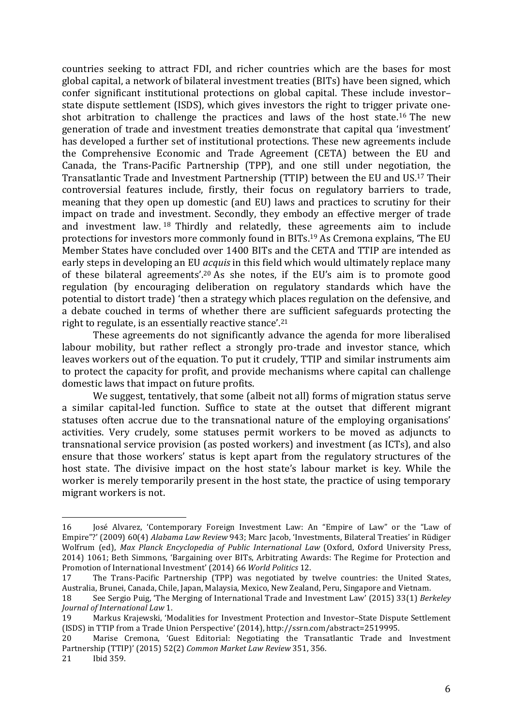countries seeking to attract FDI, and richer countries which are the bases for most global capital, a network of bilateral investment treaties (BITs) have been signed, which confer significant institutional protections on global capital. These include investorstate dispute settlement (ISDS), which gives investors the right to trigger private oneshot arbitration to challenge the practices and laws of the host state.<sup>16</sup> The new generation of trade and investment treaties demonstrate that capital qua 'investment' has developed a further set of institutional protections. These new agreements include the Comprehensive Economic and Trade Agreement (CETA) between the EU and Canada, the Trans-Pacific Partnership (TPP), and one still under negotiation, the Transatlantic Trade and Investment Partnership (TTIP) between the EU and US.<sup>17</sup> Their controversial features include, firstly, their focus on regulatory barriers to trade, meaning that they open up domestic (and EU) laws and practices to scrutiny for their impact on trade and investment. Secondly, they embody an effective merger of trade and investment law. <sup>18</sup> Thirdly and relatedly, these agreements aim to include protections for investors more commonly found in BITs.<sup>19</sup> As Cremona explains, 'The EU Member States have concluded over 1400 BITs and the CETA and TTIP are intended as early steps in developing an EU *acquis* in this field which would ultimately replace many of these bilateral agreements'.<sup>20</sup> As she notes, if the EU's aim is to promote good regulation (by encouraging deliberation on regulatory standards which have the potential to distort trade) 'then a strategy which places regulation on the defensive, and a debate couched in terms of whether there are sufficient safeguards protecting the right to regulate, is an essentially reactive stance'.<sup>21</sup>

These agreements do not significantly advance the agenda for more liberalised labour mobility, but rather reflect a strongly pro-trade and investor stance, which leaves workers out of the equation. To put it crudely, TTIP and similar instruments aim to protect the capacity for profit, and provide mechanisms where capital can challenge domestic laws that impact on future profits.

We suggest, tentatively, that some (albeit not all) forms of migration status serve a similar capital-led function. Suffice to state at the outset that different migrant statuses often accrue due to the transnational nature of the employing organisations' activities. Very crudely, some statuses permit workers to be moved as adjuncts to transnational service provision (as posted workers) and investment (as ICTs), and also ensure that those workers' status is kept apart from the regulatory structures of the host state. The divisive impact on the host state's labour market is key. While the worker is merely temporarily present in the host state, the practice of using temporary migrant workers is not.

<sup>16</sup> José Alvarez, 'Contemporary Foreign Investment Law: An "Empire of Law" or the "Law of Empire"?' (2009) 60(4) *Alabama Law Review* 943; Marc Jacob, 'Investments, Bilateral Treaties' in Rüdiger Wolfrum (ed), Max Planck Encyclopedia of Public International Law (Oxford, Oxford University Press, 2014) 1061; Beth Simmons, 'Bargaining over BITs, Arbitrating Awards: The Regime for Protection and Promotion of International Investment' (2014) 66 World Politics 12.

<sup>17</sup> The Trans-Pacific Partnership (TPP) was negotiated by twelve countries: the United States, Australia, Brunei, Canada, Chile, Japan, Malaysia, Mexico, New Zealand, Peru, Singapore and Vietnam.

<sup>18</sup> See Sergio Puig, 'The Merging of International Trade and Investment Law' (2015) 33(1) *Berkeley Journal of International Law* 1.

<sup>19</sup> Markus Krajewski, 'Modalities for Investment Protection and Investor-State Dispute Settlement (ISDS) in TTIP from a Trade Union Perspective' (2014), http://ssrn.com/abstract=2519995.

<sup>20</sup> Marise Cremona, 'Guest Editorial: Negotiating the Transatlantic Trade and Investment Partnership (TTIP)' (2015) 52(2) *Common Market Law Review* 351, 356.

<sup>21</sup> Ibid 359.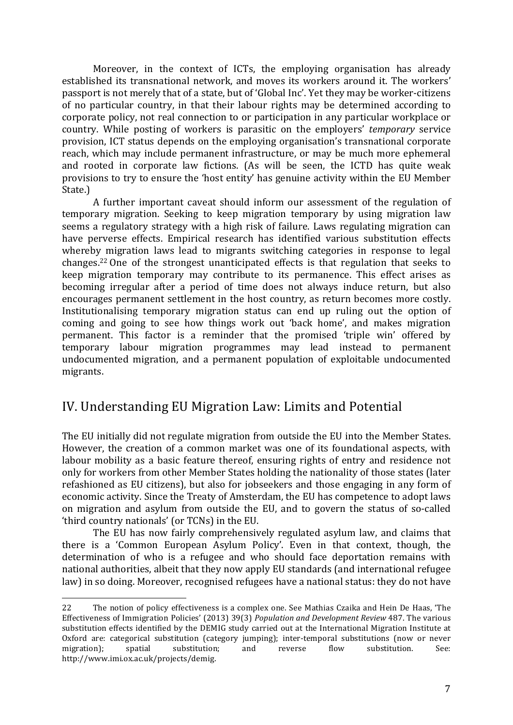Moreover, in the context of ICTs, the employing organisation has already established its transnational network, and moves its workers around it. The workers' passport is not merely that of a state, but of 'Global Inc'. Yet they may be worker-citizens of no particular country, in that their labour rights may be determined according to corporate policy, not real connection to or participation in any particular workplace or country. While posting of workers is parasitic on the employers' *temporary* service provision, ICT status depends on the employing organisation's transnational corporate reach, which may include permanent infrastructure, or may be much more ephemeral and rooted in corporate law fictions. (As will be seen, the ICTD has quite weak provisions to try to ensure the 'host entity' has genuine activity within the EU Member State.)

A further important caveat should inform our assessment of the regulation of temporary migration. Seeking to keep migration temporary by using migration law seems a regulatory strategy with a high risk of failure. Laws regulating migration can have perverse effects. Empirical research has identified various substitution effects whereby migration laws lead to migrants switching categories in response to legal changes.<sup>22</sup> One of the strongest unanticipated effects is that regulation that seeks to keep migration temporary may contribute to its permanence. This effect arises as becoming irregular after a period of time does not always induce return, but also encourages permanent settlement in the host country, as return becomes more costly. Institutionalising temporary migration status can end up ruling out the option of coming and going to see how things work out 'back home', and makes migration permanent. This factor is a reminder that the promised 'triple win' offered by temporary labour migration programmes may lead instead to permanent undocumented migration, and a permanent population of exploitable undocumented migrants. 

## IV. Understanding EU Migration Law: Limits and Potential

The EU initially did not regulate migration from outside the EU into the Member States. However, the creation of a common market was one of its foundational aspects, with labour mobility as a basic feature thereof, ensuring rights of entry and residence not only for workers from other Member States holding the nationality of those states (later refashioned as EU citizens), but also for jobseekers and those engaging in any form of economic activity. Since the Treaty of Amsterdam, the EU has competence to adopt laws on migration and asylum from outside the EU, and to govern the status of so-called 'third country nationals' (or TCNs) in the EU.

The EU has now fairly comprehensively regulated asylum law, and claims that there is a 'Common European Asylum Policy'. Even in that context, though, the determination of who is a refugee and who should face deportation remains with national authorities, albeit that they now apply EU standards (and international refugee law) in so doing. Moreover, recognised refugees have a national status: they do not have

<sup>22</sup> The notion of policy effectiveness is a complex one. See Mathias Czaika and Hein De Haas, 'The Effectiveness of Immigration Policies' (2013) 39(3) *Population and Development Review* 487. The various substitution effects identified by the DEMIG study carried out at the International Migration Institute at Oxford are: categorical substitution (category jumping); inter-temporal substitutions (now or never migration); spatial substitution; and reverse flow substitution. See: http://www.imi.ox.ac.uk/projects/demig.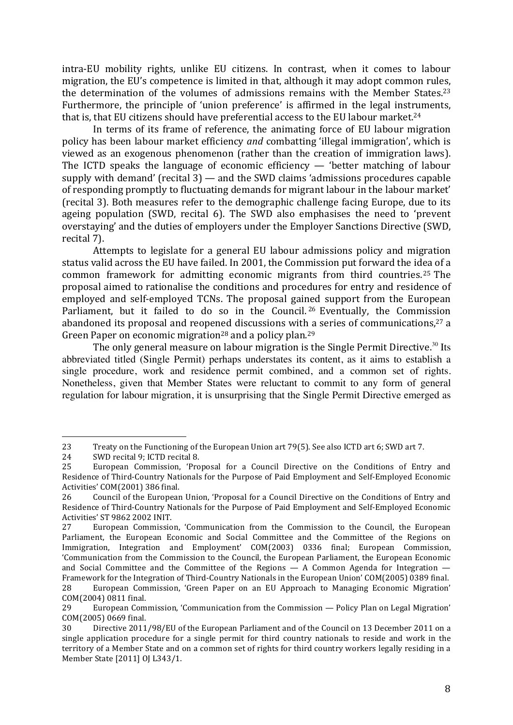intra-EU mobility rights, unlike EU citizens. In contrast, when it comes to labour migration, the EU's competence is limited in that, although it may adopt common rules, the determination of the volumes of admissions remains with the Member States.<sup>23</sup> Furthermore, the principle of 'union preference' is affirmed in the legal instruments, that is, that EU citizens should have preferential access to the EU labour market. $^{24}$ 

In terms of its frame of reference, the animating force of EU labour migration policy has been labour market efficiency *and* combatting 'illegal immigration', which is viewed as an exogenous phenomenon (rather than the creation of immigration laws). The ICTD speaks the language of economic efficiency — 'better matching of labour supply with demand' (recital  $3$ ) — and the SWD claims 'admissions procedures capable of responding promptly to fluctuating demands for migrant labour in the labour market' (recital 3). Both measures refer to the demographic challenge facing Europe, due to its ageing population  $(SWD, \text{recall } 6)$ . The SWD also emphasises the need to 'prevent overstaying' and the duties of employers under the Employer Sanctions Directive (SWD, recital 7).

Attempts to legislate for a general EU labour admissions policy and migration status valid across the EU have failed. In 2001, the Commission put forward the idea of a common framework for admitting economic migrants from third countries.<sup>25</sup> The proposal aimed to rationalise the conditions and procedures for entry and residence of employed and self-employed TCNs. The proposal gained support from the European Parliament, but it failed to do so in the Council. <sup>26</sup> Eventually, the Commission abandoned its proposal and reopened discussions with a series of communications, $27$  a Green Paper on economic migration<sup>28</sup> and a policy plan.<sup>29</sup>

The only general measure on labour migration is the Single Permit Directive.<sup>30</sup> Its abbreviated titled (Single Permit) perhaps understates its content, as it aims to establish a single procedure, work and residence permit combined, and a common set of rights. Nonetheless, given that Member States were reluctant to commit to any form of general regulation for labour migration, it is unsurprising that the Single Permit Directive emerged as

<sup>23</sup> Treaty on the Functioning of the European Union art 79(5). See also ICTD art 6; SWD art 7.

<sup>24</sup> SWD recital 9; ICTD recital 8.

<sup>25</sup> European Commission, 'Proposal for a Council Directive on the Conditions of Entry and Residence of Third-Country Nationals for the Purpose of Paid Employment and Self-Employed Economic Activities' COM(2001) 386 final.

<sup>26</sup> Council of the European Union, 'Proposal for a Council Directive on the Conditions of Entry and Residence of Third-Country Nationals for the Purpose of Paid Employment and Self-Employed Economic Activities' ST 9862 2002 INIT.

<sup>27</sup> European Commission, 'Communication from the Commission to the Council, the European Parliament, the European Economic and Social Committee and the Committee of the Regions on Immigration, Integration and Employment' COM(2003) 0336 final; European Commission, 'Communication from the Commission to the Council, the European Parliament, the European Economic and Social Committee and the Committee of the Regions  $-$  A Common Agenda for Integration  $-$ Framework for the Integration of Third-Country Nationals in the European Union' COM(2005) 0389 final. 28 European Commission, 'Green Paper on an EU Approach to Managing Economic Migration' COM(2004) 0811 final.

<sup>29</sup> European Commission, 'Communication from the Commission — Policy Plan on Legal Migration' COM(2005) 0669 final.

<sup>30</sup> Directive 2011/98/EU of the European Parliament and of the Council on 13 December 2011 on a single application procedure for a single permit for third country nationals to reside and work in the territory of a Member State and on a common set of rights for third country workers legally residing in a Member State [2011] OJ L343/1.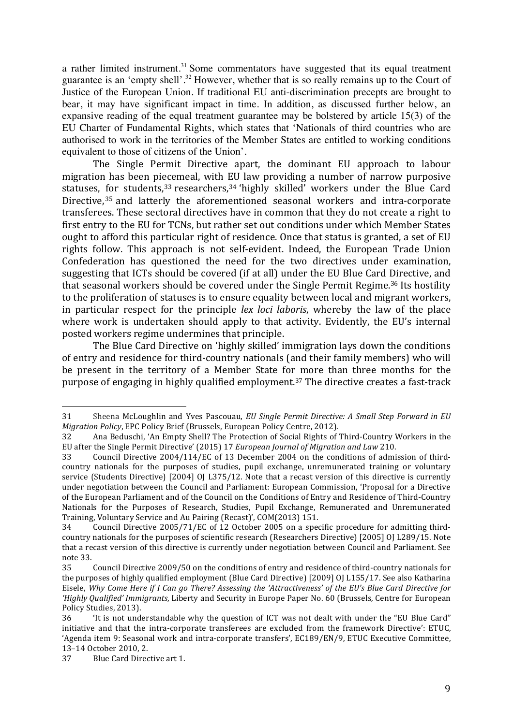a rather limited instrument. $31$  Some commentators have suggested that its equal treatment guarantee is an 'empty shell'.<sup>32</sup> However, whether that is so really remains up to the Court of Justice of the European Union. If traditional EU anti-discrimination precepts are brought to bear, it may have significant impact in time. In addition, as discussed further below, an expansive reading of the equal treatment guarantee may be bolstered by article 15(3) of the EU Charter of Fundamental Rights, which states that 'Nationals of third countries who are authorised to work in the territories of the Member States are entitled to working conditions equivalent to those of citizens of the Union'.

The Single Permit Directive apart, the dominant EU approach to labour migration has been piecemeal, with EU law providing a number of narrow purposive statuses, for students,  $33$  researchers,  $34$  'highly skilled' workers under the Blue Card Directive,<sup>35</sup> and latterly the aforementioned seasonal workers and intra-corporate transferees. These sectoral directives have in common that they do not create a right to first entry to the EU for TCNs, but rather set out conditions under which Member States ought to afford this particular right of residence. Once that status is granted, a set of EU rights follow. This approach is not self-evident. Indeed, the European Trade Union Confederation has questioned the need for the two directives under examination, suggesting that ICTs should be covered (if at all) under the EU Blue Card Directive, and that seasonal workers should be covered under the Single Permit Regime.<sup>36</sup> Its hostility to the proliferation of statuses is to ensure equality between local and migrant workers, in particular respect for the principle *lex loci laboris*, whereby the law of the place where work is undertaken should apply to that activity. Evidently, the EU's internal posted workers regime undermines that principle.

The Blue Card Directive on 'highly skilled' immigration lays down the conditions of entry and residence for third-country nationals (and their family members) who will be present in the territory of a Member State for more than three months for the purpose of engaging in highly qualified employment.<sup>37</sup> The directive creates a fast-track

<sup>31</sup> Sheena McLoughlin and Yves Pascouau, *EU Single Permit Directive: A Small Step Forward in EU Migration Policy*, EPC Policy Brief (Brussels, European Policy Centre, 2012).

<sup>32</sup> Ana Beduschi, 'An Empty Shell? The Protection of Social Rights of Third-Country Workers in the EU after the Single Permit Directive' (2015) 17 *European Journal of Migration and Law* 210.

<sup>33</sup> Council Directive 2004/114/EC of 13 December 2004 on the conditions of admission of thirdcountry nationals for the purposes of studies, pupil exchange, unremunerated training or voluntary service (Students Directive) [2004] OJ L375/12. Note that a recast version of this directive is currently under negotiation between the Council and Parliament: European Commission, 'Proposal for a Directive of the European Parliament and of the Council on the Conditions of Entry and Residence of Third-Country Nationals for the Purposes of Research, Studies, Pupil Exchange, Remunerated and Unremunerated Training, Voluntary Service and Au Pairing (Recast)', COM(2013) 151.

<sup>34</sup> Council Directive 2005/71/EC of 12 October 2005 on a specific procedure for admitting thirdcountry nationals for the purposes of scientific research (Researchers Directive) [2005] OJ L289/15. Note that a recast version of this directive is currently under negotiation between Council and Parliament. See note 33.

<sup>35</sup> Council Directive 2009/50 on the conditions of entry and residence of third-country nationals for the purposes of highly qualified employment (Blue Card Directive) [2009] OJ L155/17. See also Katharina Eisele, *Why Come Here if I Can go There? Assessing the 'Attractiveness' of the EU's Blue Card Directive for* 'Highly Qualified' Immigrants, Liberty and Security in Europe Paper No. 60 (Brussels, Centre for European Policy Studies, 2013).

<sup>36 &#</sup>x27;It is not understandable why the question of ICT was not dealt with under the "EU Blue Card" initiative and that the intra-corporate transferees are excluded from the framework Directive': ETUC, 'Agenda item 9: Seasonal work and intra-corporate transfers', EC189/EN/9, ETUC Executive Committee, 13–14 October 2010, 2.

<sup>37</sup> Blue Card Directive art 1.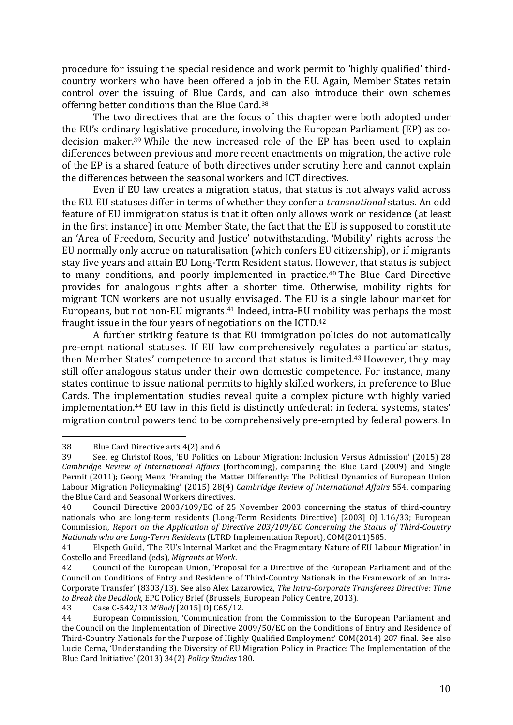procedure for issuing the special residence and work permit to 'highly qualified' thirdcountry workers who have been offered a job in the EU. Again, Member States retain control over the issuing of Blue Cards, and can also introduce their own schemes offering better conditions than the Blue Card.<sup>38</sup>

The two directives that are the focus of this chapter were both adopted under the EU's ordinary legislative procedure, involving the European Parliament (EP) as codecision maker.<sup>39</sup> While the new increased role of the EP has been used to explain differences between previous and more recent enactments on migration, the active role of the EP is a shared feature of both directives under scrutiny here and cannot explain the differences between the seasonal workers and ICT directives.

Even if EU law creates a migration status, that status is not always valid across the EU. EU statuses differ in terms of whether they confer a *transnational* status. An odd feature of EU immigration status is that it often only allows work or residence (at least in the first instance) in one Member State, the fact that the EU is supposed to constitute an 'Area of Freedom, Security and Justice' notwithstanding. 'Mobility' rights across the EU normally only accrue on naturalisation (which confers EU citizenship), or if migrants stay five years and attain EU Long-Term Resident status. However, that status is subject to many conditions, and poorly implemented in practice.<sup>40</sup> The Blue Card Directive provides for analogous rights after a shorter time. Otherwise, mobility rights for migrant TCN workers are not usually envisaged. The EU is a single labour market for Europeans, but not non-EU migrants.<sup>41</sup> Indeed, intra-EU mobility was perhaps the most fraught issue in the four years of negotiations on the ICTD. $42$ 

A further striking feature is that EU immigration policies do not automatically pre-empt national statuses. If EU law comprehensively regulates a particular status, then Member States' competence to accord that status is limited.<sup>43</sup> However, they may still offer analogous status under their own domestic competence. For instance, many states continue to issue national permits to highly skilled workers, in preference to Blue Cards. The implementation studies reveal quite a complex picture with highly varied implementation.<sup>44</sup> EU law in this field is distinctly unfederal: in federal systems, states' migration control powers tend to be comprehensively pre-empted by federal powers. In

<sup>38</sup> Blue Card Directive arts 4(2) and 6.

<sup>39</sup> See, eg Christof Roos, 'EU Politics on Labour Migration: Inclusion Versus Admission' (2015) 28 *Cambridge Review of International Affairs* (forthcoming), comparing the Blue Card (2009) and Single Permit (2011); Georg Menz, 'Framing the Matter Differently: The Political Dynamics of European Union Labour Migration Policymaking' (2015) 28(4) *Cambridge Review of International Affairs* 554, comparing the Blue Card and Seasonal Workers directives.

<sup>40</sup> Council Directive 2003/109/EC of 25 November 2003 concerning the status of third-country nationals who are long-term residents (Long-Term Residents Directive) [2003] OJ L16/33; European Commission, *Report on the Application of Directive 203/109/EC Concerning the Status of Third-Country Nationals who are Long-Term Residents* (LTRD Implementation Report), COM(2011)585.

<sup>41</sup> Elspeth Guild, 'The EU's Internal Market and the Fragmentary Nature of EU Labour Migration' in Costello and Freedland (eds), *Migrants at Work*.

<sup>42</sup> Council of the European Union, 'Proposal for a Directive of the European Parliament and of the Council on Conditions of Entry and Residence of Third-Country Nationals in the Framework of an Intra-Corporate Transfer' (8303/13). See also Alex Lazarowicz, *The Intra-Corporate Transferees Directive: Time* to Break the Deadlock, EPC Policy Brief (Brussels, European Policy Centre, 2013).

<sup>43</sup> Case C-542/13 *M'Bodj* [2015] OJ C65/12.

<sup>44</sup> European Commission, 'Communication from the Commission to the European Parliament and the Council on the Implementation of Directive 2009/50/EC on the Conditions of Entry and Residence of Third-Country Nationals for the Purpose of Highly Qualified Employment' COM(2014) 287 final. See also Lucie Cerna, 'Understanding the Diversity of EU Migration Policy in Practice: The Implementation of the Blue Card Initiative' (2013) 34(2) *Policy Studies* 180.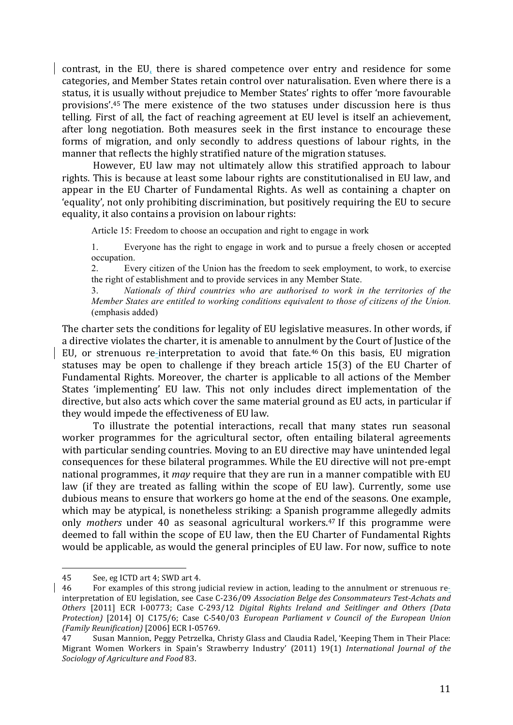contrast, in the EU, there is shared competence over entry and residence for some categories, and Member States retain control over naturalisation. Even where there is a status, it is usually without prejudice to Member States' rights to offer 'more favourable provisions'.<sup>45</sup> The mere existence of the two statuses under discussion here is thus telling. First of all, the fact of reaching agreement at EU level is itself an achievement, after long negotiation. Both measures seek in the first instance to encourage these forms of migration, and only secondly to address questions of labour rights, in the manner that reflects the highly stratified nature of the migration statuses.

However, EU law may not ultimately allow this stratified approach to labour rights. This is because at least some labour rights are constitutionalised in EU law, and appear in the EU Charter of Fundamental Rights. As well as containing a chapter on 'equality', not only prohibiting discrimination, but positively requiring the EU to secure equality, it also contains a provision on labour rights:

Article 15: Freedom to choose an occupation and right to engage in work

1. Everyone has the right to engage in work and to pursue a freely chosen or accepted occupation.

2. Every citizen of the Union has the freedom to seek employment, to work, to exercise the right of establishment and to provide services in any Member State.

3. *Nationals of third countries who are authorised to work in the territories of the Member States are entitled to working conditions equivalent to those of citizens of the Union.*  (emphasis added)

The charter sets the conditions for legality of EU legislative measures. In other words, if a directive violates the charter, it is amenable to annulment by the Court of Justice of the EU, or strenuous re-interpretation to avoid that fate.<sup>46</sup> On this basis, EU migration statuses may be open to challenge if they breach article  $15(3)$  of the EU Charter of Fundamental Rights. Moreover, the charter is applicable to all actions of the Member States 'implementing' EU law. This not only includes direct implementation of the directive, but also acts which cover the same material ground as EU acts, in particular if they would impede the effectiveness of EU law.

To illustrate the potential interactions, recall that many states run seasonal worker programmes for the agricultural sector, often entailing bilateral agreements with particular sending countries. Moving to an EU directive may have unintended legal consequences for these bilateral programmes. While the EU directive will not pre-empt national programmes, it *may* require that they are run in a manner compatible with EU law (if they are treated as falling within the scope of EU law). Currently, some use dubious means to ensure that workers go home at the end of the seasons. One example, which may be atypical, is nonetheless striking: a Spanish programme allegedly admits only *mothers* under 40 as seasonal agricultural workers.<sup>47</sup> If this programme were deemed to fall within the scope of EU law, then the EU Charter of Fundamental Rights would be applicable, as would the general principles of EU law. For now, suffice to note

<sup>45</sup> See, eg ICTD art 4; SWD art 4.

<sup>46</sup> For examples of this strong judicial review in action, leading to the annulment or strenuous reinterpretation of EU legislation, see Case C-236/09 Association Belge des Consommateurs Test-Achats and *Others* [2011] ECR I-00773; Case C-293/12 *Digital Rights Ireland and Seitlinger and Others (Data Protection*) [2014] OJ C175/6; Case C-540/03 *European Parliament v Council of the European Union (Family Reunification)* [2006] ECR I-05769.

<sup>47</sup> Susan Mannion, Peggy Petrzelka, Christy Glass and Claudia Radel. 'Keeping Them in Their Place: Migrant Women Workers in Spain's Strawberry Industry' (2011) 19(1) *International Journal of the Sociology of Agriculture and Food* 83.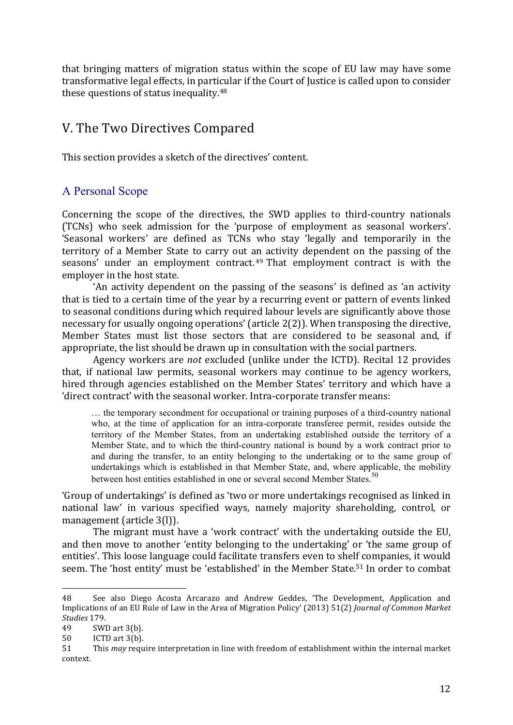that bringing matters of migration status within the scope of EU law may have some transformative legal effects, in particular if the Court of Justice is called upon to consider these questions of status inequality. $48$ 

#### V. The Two Directives Compared

This section provides a sketch of the directives' content.

#### A Personal Scope

Concerning the scope of the directives, the SWD applies to third-country nationals (TCNs) who seek admission for the 'purpose of employment as seasonal workers'. 'Seasonal workers' are defined as TCNs who stay 'legally and temporarily in the territory of a Member State to carry out an activity dependent on the passing of the seasons' under an employment contract. $49$  That employment contract is with the employer in the host state.

'An activity dependent on the passing of the seasons' is defined as 'an activity that is tied to a certain time of the year by a recurring event or pattern of events linked to seasonal conditions during which required labour levels are significantly above those necessary for usually ongoing operations' (article  $2(2)$ ). When transposing the directive, Member States must list those sectors that are considered to be seasonal and, if appropriate, the list should be drawn up in consultation with the social partners.

Agency workers are *not* excluded (unlike under the ICTD). Recital 12 provides that, if national law permits, seasonal workers may continue to be agency workers, hired through agencies established on the Member States' territory and which have a 'direct contract' with the seasonal worker. Intra-corporate transfer means:

… the temporary secondment for occupational or training purposes of a third-country national who, at the time of application for an intra-corporate transferee permit, resides outside the territory of the Member States, from an undertaking established outside the territory of a Member State, and to which the third-country national is bound by a work contract prior to and during the transfer, to an entity belonging to the undertaking or to the same group of undertakings which is established in that Member State, and, where applicable, the mobility between host entities established in one or several second Member States.<sup>50</sup>

'Group of undertakings' is defined as 'two or more undertakings recognised as linked in national law' in various specified ways, namely majority shareholding, control, or management (article 3(l)).

The migrant must have a 'work contract' with the undertaking outside the EU, and then move to another 'entity belonging to the undertaking' or 'the same group of entities'. This loose language could facilitate transfers even to shelf companies, it would seem. The 'host entity' must be 'established' in the Member State.<sup>51</sup> In order to combat

<sup>48</sup> See also Diego Acosta Arcarazo and Andrew Geddes, 'The Development, Application and Implications of an EU Rule of Law in the Area of Migration Policy' (2013) 51(2) *Journal of Common Market Studies* 179.

<sup>49</sup> SWD art 3(b).

<sup>50</sup> ICTD art 3(b).

<sup>51</sup> This *may* require interpretation in line with freedom of establishment within the internal market context.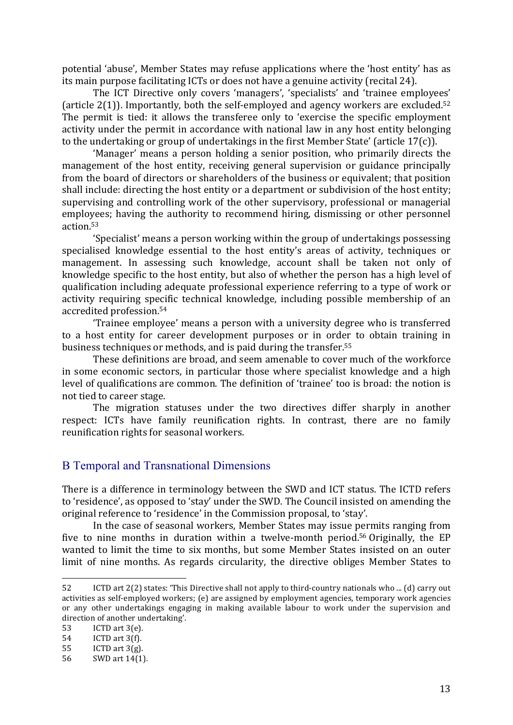potential 'abuse', Member States may refuse applications where the 'host entity' has as its main purpose facilitating ICTs or does not have a genuine activity (recital 24).

The ICT Directive only covers 'managers', 'specialists' and 'trainee employees' (article  $2(1)$ ). Importantly, both the self-employed and agency workers are excluded.<sup>52</sup> The permit is tied: it allows the transferee only to 'exercise the specific employment activity under the permit in accordance with national law in any host entity belonging to the undertaking or group of undertakings in the first Member State' (article  $17(c)$ ).

'Manager' means a person holding a senior position, who primarily directs the management of the host entity, receiving general supervision or guidance principally from the board of directors or shareholders of the business or equivalent; that position shall include: directing the host entity or a department or subdivision of the host entity; supervising and controlling work of the other supervisory, professional or managerial employees; having the authority to recommend hiring, dismissing or other personnel action. 53

'Specialist' means a person working within the group of undertakings possessing specialised knowledge essential to the host entity's areas of activity, techniques or management. In assessing such knowledge, account shall be taken not only of knowledge specific to the host entity, but also of whether the person has a high level of qualification including adequate professional experience referring to a type of work or activity requiring specific technical knowledge, including possible membership of an accredited profession.<sup>54</sup>

Trainee employee' means a person with a university degree who is transferred to a host entity for career development purposes or in order to obtain training in business techniques or methods, and is paid during the transfer.<sup>55</sup>

These definitions are broad, and seem amenable to cover much of the workforce in some economic sectors, in particular those where specialist knowledge and a high level of qualifications are common. The definition of 'trainee' too is broad: the notion is not tied to career stage.

The migration statuses under the two directives differ sharply in another respect: ICTs have family reunification rights. In contrast, there are no family reunification rights for seasonal workers.

#### B Temporal and Transnational Dimensions

There is a difference in terminology between the SWD and ICT status. The ICTD refers to 'residence', as opposed to 'stay' under the SWD. The Council insisted on amending the original reference to 'residence' in the Commission proposal, to 'stay'.

In the case of seasonal workers, Member States may issue permits ranging from five to nine months in duration within a twelve-month period.<sup>56</sup> Originally, the EP wanted to limit the time to six months, but some Member States insisted on an outer limit of nine months. As regards circularity, the directive obliges Member States to

<sup>52</sup> ICTD art 2(2) states: 'This Directive shall not apply to third-country nationals who ... (d) carry out activities as self-employed workers; (e) are assigned by employment agencies, temporary work agencies or any other undertakings engaging in making available labour to work under the supervision and direction of another undertaking'.

<sup>53</sup> ICTD art 3(e).

<sup>54</sup> ICTD art 3(f).

<sup>55</sup> ICTD art  $3(g)$ .

<sup>56</sup> SWD art 14(1).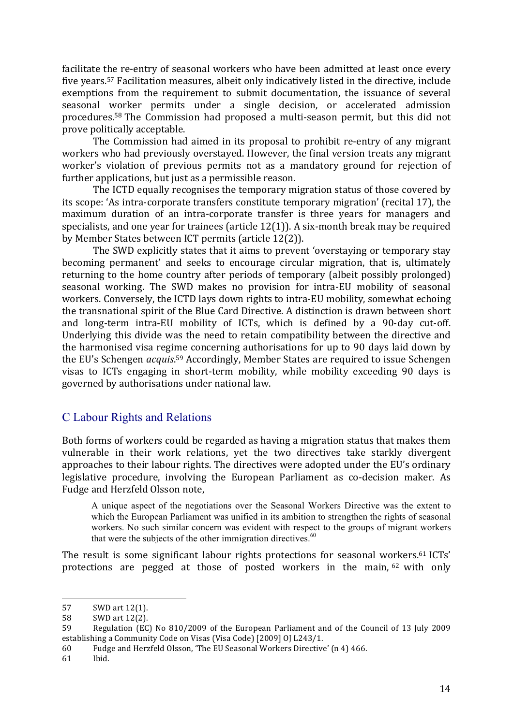facilitate the re-entry of seasonal workers who have been admitted at least once every five vears.<sup>57</sup> Facilitation measures, albeit only indicatively listed in the directive, include exemptions from the requirement to submit documentation, the issuance of several seasonal worker permits under a single decision, or accelerated admission procedures.<sup>58</sup> The Commission had proposed a multi-season permit, but this did not prove politically acceptable.

The Commission had aimed in its proposal to prohibit re-entry of any migrant workers who had previously overstayed. However, the final version treats any migrant worker's violation of previous permits not as a mandatory ground for rejection of further applications, but just as a permissible reason.

The ICTD equally recognises the temporary migration status of those covered by its scope: 'As intra-corporate transfers constitute temporary migration' (recital 17), the maximum duration of an intra-corporate transfer is three years for managers and specialists, and one year for trainees (article  $12(1)$ ). A six-month break may be required by Member States between ICT permits (article 12(2)).

The SWD explicitly states that it aims to prevent 'overstaying or temporary stay becoming permanent' and seeks to encourage circular migration, that is, ultimately returning to the home country after periods of temporary (albeit possibly prolonged) seasonal working. The SWD makes no provision for intra-EU mobility of seasonal workers. Conversely, the ICTD lays down rights to intra-EU mobility, somewhat echoing the transnational spirit of the Blue Card Directive. A distinction is drawn between short and long-term intra-EU mobility of ICTs, which is defined by a 90-day cut-off. Underlying this divide was the need to retain compatibility between the directive and the harmonised visa regime concerning authorisations for up to 90 days laid down by the EU's Schengen *acquis*.<sup>59</sup> Accordingly, Member States are required to issue Schengen visas to ICTs engaging in short-term mobility, while mobility exceeding 90 days is governed by authorisations under national law.

#### C Labour Rights and Relations

Both forms of workers could be regarded as having a migration status that makes them vulnerable in their work relations, yet the two directives take starkly divergent approaches to their labour rights. The directives were adopted under the EU's ordinary legislative procedure, involving the European Parliament as co-decision maker. As Fudge and Herzfeld Olsson note,

A unique aspect of the negotiations over the Seasonal Workers Directive was the extent to which the European Parliament was unified in its ambition to strengthen the rights of seasonal workers. No such similar concern was evident with respect to the groups of migrant workers that were the subjects of the other immigration directives. $60$ 

The result is some significant labour rights protections for seasonal workers.<sup>61</sup> ICTs' protections are pegged at those of posted workers in the main,  $62$  with only

<sup>57</sup> SWD art 12(1).

<sup>58</sup> SWD art 12(2).

<sup>59</sup> Regulation (EC) No 810/2009 of the European Parliament and of the Council of 13 July 2009 establishing a Community Code on Visas (Visa Code) [2009] OJ L243/1.

<sup>60</sup> Fudge and Herzfeld Olsson, 'The EU Seasonal Workers Directive' (n 4) 466.

<sup>61</sup> Ibid.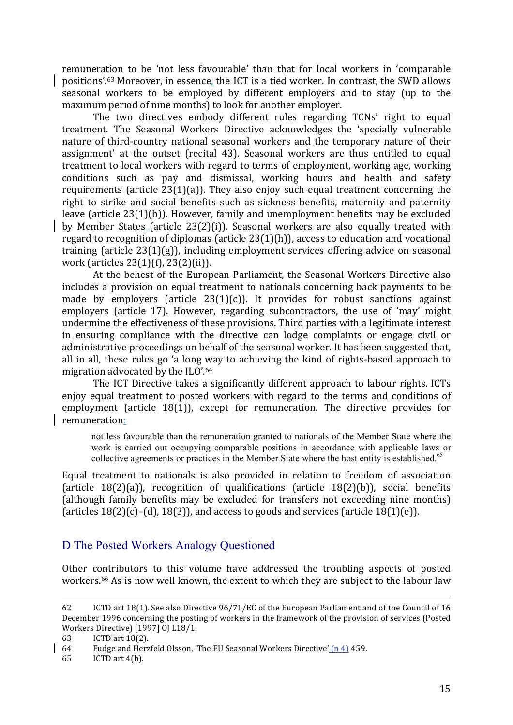remuneration to be 'not less favourable' than that for local workers in 'comparable positions'.<sup>63</sup> Moreover, in essence, the ICT is a tied worker. In contrast, the SWD allows seasonal workers to be employed by different employers and to stay (up to the maximum period of nine months) to look for another employer.

The two directives embody different rules regarding TCNs' right to equal treatment. The Seasonal Workers Directive acknowledges the 'specially vulnerable nature of third-country national seasonal workers and the temporary nature of their assignment' at the outset (recital 43). Seasonal workers are thus entitled to equal treatment to local workers with regard to terms of employment, working age, working conditions such as pay and dismissal, working hours and health and safety requirements (article  $23(1)(a)$ ). They also enjoy such equal treatment concerning the right to strike and social benefits such as sickness benefits, maternity and paternity leave (article  $23(1)(b)$ ). However, family and unemployment benefits may be excluded by Member States (article  $23(2)(i)$ ). Seasonal workers are also equally treated with regard to recognition of diplomas (article  $23(1)(h)$ ), access to education and vocational training (article  $23(1)(g)$ ), including employment services offering advice on seasonal work (articles  $23(1)(f)$ ,  $23(2)(ii)$ ).

At the behest of the European Parliament, the Seasonal Workers Directive also includes a provision on equal treatment to nationals concerning back payments to be made by employers (article  $23(1)(c)$ ). It provides for robust sanctions against employers (article 17). However, regarding subcontractors, the use of 'may' might undermine the effectiveness of these provisions. Third parties with a legitimate interest in ensuring compliance with the directive can lodge complaints or engage civil or administrative proceedings on behalf of the seasonal worker. It has been suggested that, all in all, these rules go 'a long way to achieving the kind of rights-based approach to migration advocated by the  $ILO'.64$ 

The ICT Directive takes a significantly different approach to labour rights. ICTs enjoy equal treatment to posted workers with regard to the terms and conditions of employment (article  $18(1)$ ), except for remuneration. The directive provides for remuneration:

not less favourable than the remuneration granted to nationals of the Member State where the work is carried out occupying comparable positions in accordance with applicable laws or collective agreements or practices in the Member State where the host entity is established.<sup>65</sup>

Equal treatment to nationals is also provided in relation to freedom of association  $\alpha$  (article 18(2)(a)), recognition of qualifications (article 18(2)(b)), social benefits (although family benefits may be excluded for transfers not exceeding nine months) (articles  $18(2)(c)$ –(d),  $18(3)$ ), and access to goods and services (article  $18(1)(e)$ ).

#### D The Posted Workers Analogy Questioned

Other contributors to this volume have addressed the troubling aspects of posted workers.<sup>66</sup> As is now well known, the extent to which they are subject to the labour law

<u> 1989 - Andrea Santa Andrea Andrea Andrea Andrea Andrea Andrea Andrea Andrea Andrea Andrea Andrea Andrea Andr</u>

 $65$  ICTD art  $4(b)$ .

<sup>62</sup> ICTD art 18(1). See also Directive  $96/71/EC$  of the European Parliament and of the Council of 16 December 1996 concerning the posting of workers in the framework of the provision of services (Posted Workers Directive) [1997] OJ L18/1.

<sup>63</sup> ICTD art 18(2).

<sup>64</sup> Fudge and Herzfeld Olsson, 'The EU Seasonal Workers Directive'  $(n\ 4)$  459.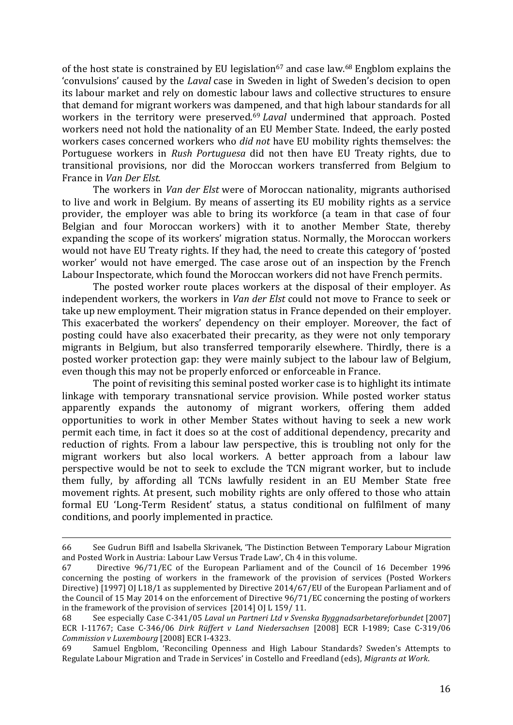of the host state is constrained by EU legislation<sup>67</sup> and case law.<sup>68</sup> Engblom explains the 'convulsions' caused by the *Laval* case in Sweden in light of Sweden's decision to open its labour market and rely on domestic labour laws and collective structures to ensure that demand for migrant workers was dampened, and that high labour standards for all workers in the territory were preserved.<sup>69</sup> *Laval* undermined that approach. Posted workers need not hold the nationality of an EU Member State. Indeed, the early posted workers cases concerned workers who *did not* have EU mobility rights themselves: the Portuguese workers in *Rush Portuguesa* did not then have EU Treaty rights, due to transitional provisions, nor did the Moroccan workers transferred from Belgium to France in *Van Der Elst.* 

The workers in *Van der Elst* were of Moroccan nationality, migrants authorised to live and work in Belgium. By means of asserting its EU mobility rights as a service provider, the employer was able to bring its workforce (a team in that case of four Belgian and four Moroccan workers) with it to another Member State, thereby expanding the scope of its workers' migration status. Normally, the Moroccan workers would not have EU Treaty rights. If they had, the need to create this category of 'posted worker' would not have emerged. The case arose out of an inspection by the French Labour Inspectorate, which found the Moroccan workers did not have French permits.

The posted worker route places workers at the disposal of their employer. As independent workers, the workers in *Van der Elst* could not move to France to seek or take up new employment. Their migration status in France depended on their employer. This exacerbated the workers' dependency on their employer. Moreover, the fact of posting could have also exacerbated their precarity, as they were not only temporary migrants in Belgium, but also transferred temporarily elsewhere. Thirdly, there is a posted worker protection gap: they were mainly subject to the labour law of Belgium, even though this may not be properly enforced or enforceable in France.

The point of revisiting this seminal posted worker case is to highlight its intimate linkage with temporary transnational service provision. While posted worker status apparently expands the autonomy of migrant workers, offering them added opportunities to work in other Member States without having to seek a new work permit each time, in fact it does so at the cost of additional dependency, precarity and reduction of rights. From a labour law perspective, this is troubling not only for the migrant workers but also local workers. A better approach from a labour law perspective would be not to seek to exclude the TCN migrant worker, but to include them fully, by affording all TCNs lawfully resident in an EU Member State free movement rights. At present, such mobility rights are only offered to those who attain formal EU 'Long-Term Resident' status, a status conditional on fulfilment of many conditions, and poorly implemented in practice.

<sup>&</sup>lt;u> 1989 - Andrea Santa Andrea Andrea Andrea Andrea Andrea Andrea Andrea Andrea Andrea Andrea Andrea Andrea Andr</u> 66 See Gudrun Biffl and Isabella Skrivanek, 'The Distinction Between Temporary Labour Migration and Posted Work in Austria: Labour Law Versus Trade Law', Ch 4 in this volume.

<sup>67</sup> Directive  $96/71/EC$  of the European Parliament and of the Council of 16 December 1996 concerning the posting of workers in the framework of the provision of services (Posted Workers Directive) [1997] OJ L18/1 as supplemented by Directive 2014/67/EU of the European Parliament and of the Council of 15 May 2014 on the enforcement of Directive  $96/71/EC$  concerning the posting of workers in the framework of the provision of services [2014] OJ L 159/ 11.

<sup>68</sup> See especially Case C-341/05 *Laval un Partneri Ltd v Svenska Byggnadsarbetareforbundet* [2007] ECR I-11767; Case C-346/06 *Dirk Rüffert v Land Niedersachsen* [2008] ECR I-1989; Case C-319/06 *Commission v Luxembourg* [2008] ECR I-4323.

<sup>69</sup> Samuel Engblom, Reconciling Openness and High Labour Standards? Sweden's Attempts to Regulate Labour Migration and Trade in Services' in Costello and Freedland (eds), *Migrants at Work*.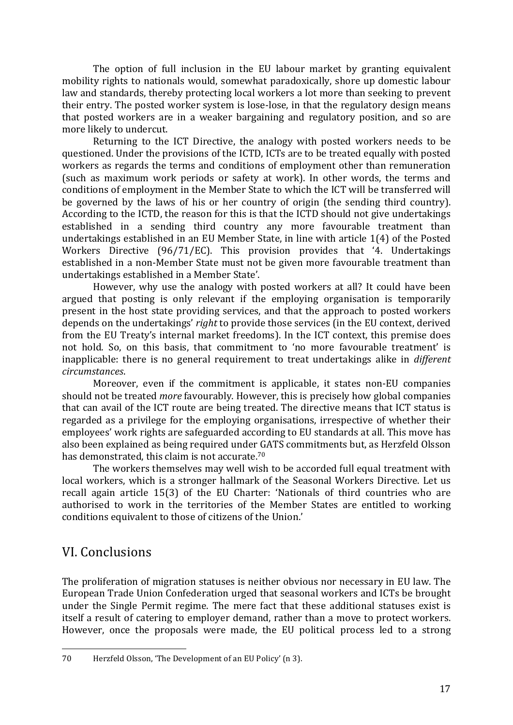The option of full inclusion in the EU labour market by granting equivalent mobility rights to nationals would, somewhat paradoxically, shore up domestic labour law and standards, thereby protecting local workers a lot more than seeking to prevent their entry. The posted worker system is lose-lose, in that the regulatory design means that posted workers are in a weaker bargaining and regulatory position, and so are more likely to undercut.

Returning to the ICT Directive, the analogy with posted workers needs to be questioned. Under the provisions of the ICTD, ICTs are to be treated equally with posted workers as regards the terms and conditions of employment other than remuneration (such as maximum work periods or safety at work). In other words, the terms and conditions of employment in the Member State to which the ICT will be transferred will be governed by the laws of his or her country of origin (the sending third country). According to the ICTD, the reason for this is that the ICTD should not give undertakings established in a sending third country any more favourable treatment than undertakings established in an EU Member State, in line with article  $1(4)$  of the Posted Workers Directive (96/71/EC). This provision provides that '4. Undertakings established in a non-Member State must not be given more favourable treatment than undertakings established in a Member State'.

However, why use the analogy with posted workers at all? It could have been argued that posting is only relevant if the employing organisation is temporarily present in the host state providing services, and that the approach to posted workers depends on the undertakings' *right* to provide those services (in the EU context, derived from the EU Treaty's internal market freedoms). In the ICT context, this premise does not hold. So, on this basis, that commitment to 'no more favourable treatment' is inapplicable: there is no general requirement to treat undertakings alike in *different circumstances*.

Moreover, even if the commitment is applicable, it states non-EU companies should not be treated *more* favourably. However, this is precisely how global companies that can avail of the ICT route are being treated. The directive means that ICT status is regarded as a privilege for the employing organisations, irrespective of whether their employees' work rights are safeguarded according to EU standards at all. This move has also been explained as being required under GATS commitments but, as Herzfeld Olsson has demonstrated, this claim is not accurate.<sup>70</sup>

The workers themselves may well wish to be accorded full equal treatment with local workers, which is a stronger hallmark of the Seasonal Workers Directive. Let us recall again article 15(3) of the EU Charter: 'Nationals of third countries who are authorised to work in the territories of the Member States are entitled to working conditions equivalent to those of citizens of the Union.'

## VI. Conclusions

The proliferation of migration statuses is neither obvious nor necessary in EU law. The European Trade Union Confederation urged that seasonal workers and ICTs be brought under the Single Permit regime. The mere fact that these additional statuses exist is itself a result of catering to employer demand, rather than a move to protect workers. However, once the proposals were made, the EU political process led to a strong

 70 Herzfeld Olsson, 'The Development of an EU Policy' (n 3).